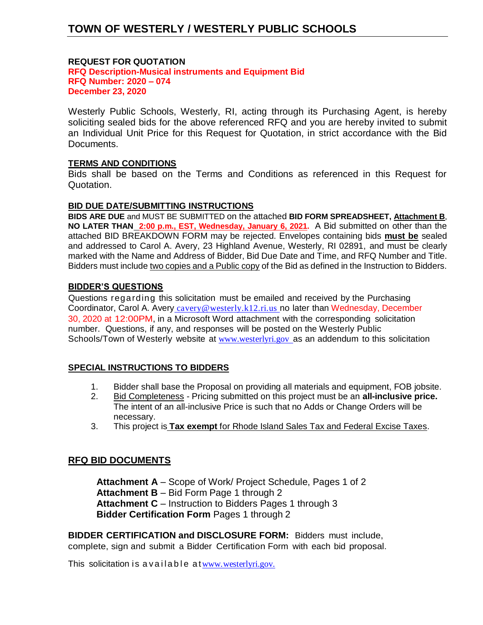## **REQUEST FOR QUOTATION**

**RFQ Description-Musical instruments and Equipment Bid RFQ Number: 2020 – 074 December 23, 2020**

Westerly Public Schools, Westerly, RI, acting through its Purchasing Agent, is hereby soliciting sealed bids for the above referenced RFQ and you are hereby invited to submit an Individual Unit Price for this Request for Quotation, in strict accordance with the Bid Documents.

## **TERMS AND CONDITIONS**

Bids shall be based on the Terms and Conditions as referenced in this Request for Quotation.

### **BID DUE DATE/SUBMITTING INSTRUCTIONS**

**BIDS ARE DUE** and MUST BE SUBMITTED on the attached **BID FORM SPREADSHEET, Attachment B**, **NO LATER THAN 2:00 p.m., EST, Wednesday, January 6, 2021.** A Bid submitted on other than the attached BID BREAKDOWN FORM may be rejected. Envelopes containing bids **must be** sealed and addressed to Carol A. Avery, 23 Highland Avenue, Westerly, RI 02891, and must be clearly marked with the Name and Address of Bidder, Bid Due Date and Time, and RFQ Number and Title. Bidders must include two copies and a Public copy of the Bid as defined in the Instruction to Bidders.

## **BIDDER'S QUESTIONS**

Questions regarding this solicitation must be emailed and received by the Purchasing Coordinator, Carol A. Avery [cavery@westerly.k12.ri.us](mailto:cavery@westerly.k12.ri.us) no later than Wednesday, December 30, 2020 at 12:00PM, in a Microsoft Word attachment with the corresponding solicitation number. Questions, if any, and responses will be posted on the Westerly Public Schools/Town of Westerly website at [www.westerlyri.gov](http://www.westerlyri.gov/) as an addendum to this solicitation

## **SPECIAL INSTRUCTIONS TO BIDDERS**

- 1. Bidder shall base the Proposal on providing all materials and equipment, FOB jobsite.
- 2. Bid Completeness Pricing submitted on this project must be an **all-inclusive price.** The intent of an all-inclusive Price is such that no Adds or Change Orders will be necessary.
- 3. This project is **Tax exempt** for Rhode Island Sales Tax and Federal Excise Taxes.

## **RFQ BID DOCUMENTS**

**Attachment A** – Scope of Work/ Project Schedule, Pages 1 of 2 **Attachment B** – Bid Form Page 1 through 2 **Attachment C** – Instruction to Bidders Pages 1 through 3 **Bidder Certification Form** Pages 1 through 2

**BIDDER CERTIFICATION and DISCLOSURE FORM:** Bidders must include, complete, sign and submit a Bidder Certification Form with each bid proposal.

This solicitation is a vailable at [www.westerlyri.gov.](http://www.westerlyri.gov./)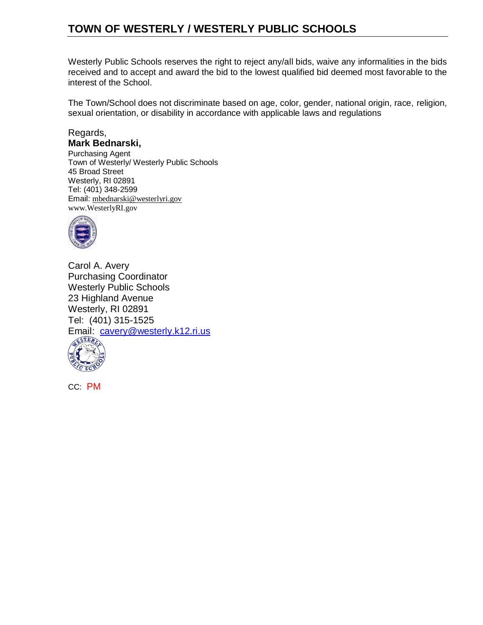Westerly Public Schools reserves the right to reject any/all bids, waive any informalities in the bids received and to accept and award the bid to the lowest qualified bid deemed most favorable to the interest of the School.

The Town/School does not discriminate based on age, color, gender, national origin, race, religion, sexual orientation, or disability in accordance with applicable laws and regulations

# Regards, **Mark Bednarski,**

Purchasing Agent Town of Westerly/ Westerly Public Schools 45 Broad Street Westerly, RI 02891 Tel: (401) 348-2599 Email: [mbednarski@westerlyri.gov](mailto:mbednarski@westerlyri.gov) [www.WesterlyRI.gov](http://www.westerlyri.gov/)



Carol A. Avery Purchasing Coordinator Westerly Public Schools 23 Highland Avenue Westerly, RI 02891 Tel: (401) 315-1525 Email: [cavery@westerly.k12.ri.us](mailto:cavery@westerly.k12.ri.us)



CC: PM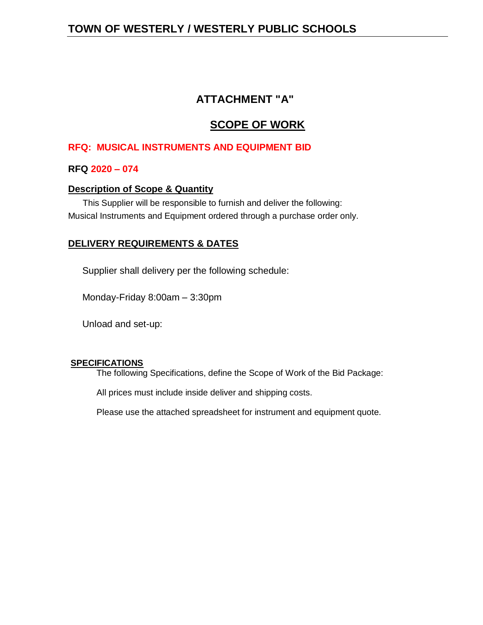# **ATTACHMENT "A"**

# **SCOPE OF WORK**

# **RFQ: MUSICAL INSTRUMENTS AND EQUIPMENT BID**

# **RFQ 2020 – 074**

## **Description of Scope & Quantity**

 This Supplier will be responsible to furnish and deliver the following: Musical Instruments and Equipment ordered through a purchase order only.

# **DELIVERY REQUIREMENTS & DATES**

Supplier shall delivery per the following schedule:

Monday-Friday 8:00am – 3:30pm

Unload and set-up:

### **SPECIFICATIONS**

The following Specifications, define the Scope of Work of the Bid Package:

All prices must include inside deliver and shipping costs.

Please use the attached spreadsheet for instrument and equipment quote.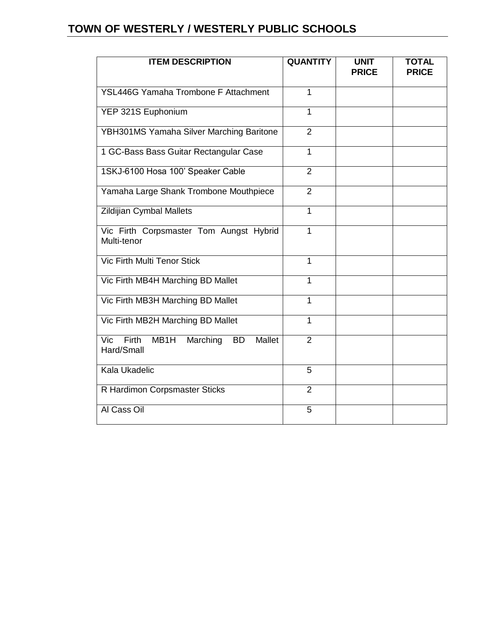| <b>ITEM DESCRIPTION</b>                                                      | <b>QUANTITY</b> | <b>UNIT</b><br><b>PRICE</b> | <b>TOTAL</b><br><b>PRICE</b> |
|------------------------------------------------------------------------------|-----------------|-----------------------------|------------------------------|
| <b>YSL446G Yamaha Trombone F Attachment</b>                                  | $\mathbf{1}$    |                             |                              |
| YEP 321S Euphonium                                                           | 1               |                             |                              |
| YBH301MS Yamaha Silver Marching Baritone                                     | $\overline{2}$  |                             |                              |
| 1 GC-Bass Bass Guitar Rectangular Case                                       | 1               |                             |                              |
| 1SKJ-6100 Hosa 100' Speaker Cable                                            | $\overline{2}$  |                             |                              |
| Yamaha Large Shank Trombone Mouthpiece                                       | $\overline{2}$  |                             |                              |
| Zildijian Cymbal Mallets                                                     | 1               |                             |                              |
| Vic Firth Corpsmaster Tom Aungst Hybrid<br>Multi-tenor                       | 1               |                             |                              |
| Vic Firth Multi Tenor Stick                                                  | $\mathbf{1}$    |                             |                              |
| Vic Firth MB4H Marching BD Mallet                                            | 1               |                             |                              |
| Vic Firth MB3H Marching BD Mallet                                            | 1               |                             |                              |
| Vic Firth MB2H Marching BD Mallet                                            | 1               |                             |                              |
| <b>Firth</b><br>MB1H<br>Vic<br>Marching<br>Mallet<br><b>BD</b><br>Hard/Small | $\overline{2}$  |                             |                              |
| Kala Ukadelic                                                                | 5               |                             |                              |
| R Hardimon Corpsmaster Sticks                                                | 2               |                             |                              |
| Al Cass Oil                                                                  | 5               |                             |                              |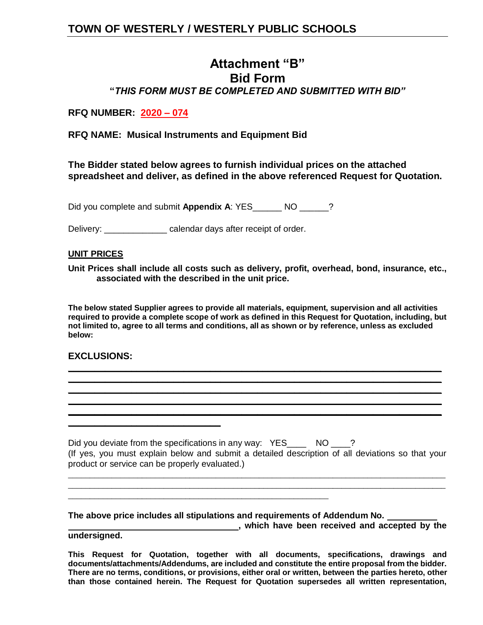# **Attachment "B" Bid Form "***THIS FORM MUST BE COMPLETED AND SUBMITTED WITH BID"*

## **RFQ NUMBER: 2020 – 074**

**RFQ NAME: Musical Instruments and Equipment Bid**

**The Bidder stated below agrees to furnish individual prices on the attached spreadsheet and deliver, as defined in the above referenced Request for Quotation.**

Did you complete and submit **Appendix A**: YES\_\_\_\_\_\_ NO \_\_\_\_\_\_?

Delivery: \_\_\_\_\_\_\_\_\_\_\_\_\_ calendar days after receipt of order.

### **UNIT PRICES**

**Unit Prices shall include all costs such as delivery, profit, overhead, bond, insurance, etc., associated with the described in the unit price.**

**The below stated Supplier agrees to provide all materials, equipment, supervision and all activities required to provide a complete scope of work as defined in this Request for Quotation, including, but not limited to, agree to all terms and conditions, all as shown or by reference, unless as excluded below:**

**\_\_\_\_\_\_\_\_\_\_\_\_\_\_\_\_\_\_\_\_\_\_\_\_\_\_\_\_\_\_\_\_\_\_\_\_\_\_\_\_\_\_\_\_\_\_\_\_\_\_\_\_\_\_\_\_\_\_\_\_\_\_\_\_\_\_\_\_\_\_\_ \_\_\_\_\_\_\_\_\_\_\_\_\_\_\_\_\_\_\_\_\_\_\_\_\_\_\_\_\_\_\_\_\_\_\_\_\_\_\_\_\_\_\_\_\_\_\_\_\_\_\_\_\_\_\_\_\_\_\_\_\_\_\_\_\_\_\_\_\_\_\_ \_\_\_\_\_\_\_\_\_\_\_\_\_\_\_\_\_\_\_\_\_\_\_\_\_\_\_\_\_\_\_\_\_\_\_\_\_\_\_\_\_\_\_\_\_\_\_\_\_\_\_\_\_\_\_\_\_\_\_\_\_\_\_\_\_\_\_\_\_\_\_ \_\_\_\_\_\_\_\_\_\_\_\_\_\_\_\_\_\_\_\_\_\_\_\_\_\_\_\_\_\_\_\_\_\_\_\_\_\_\_\_\_\_\_\_\_\_\_\_\_\_\_\_\_\_\_\_\_\_\_\_\_\_\_\_\_\_\_\_\_\_\_ \_\_\_\_\_\_\_\_\_\_\_\_\_\_\_\_\_\_\_\_\_\_\_\_\_\_\_\_\_\_\_\_\_\_\_\_\_\_\_\_\_\_\_\_\_\_\_\_\_\_\_\_\_\_\_\_\_\_\_\_\_\_\_\_\_\_\_\_\_\_\_**

### **EXCLUSIONS:**

**\_\_\_\_\_\_\_\_\_\_\_\_\_\_\_\_\_\_\_\_\_\_\_\_\_\_\_\_\_**

Did you deviate from the specifications in any way: YES\_\_\_\_ NO \_\_\_? (If yes, you must explain below and submit a detailed description of all deviations so that your product or service can be properly evaluated.)

\_\_\_\_\_\_\_\_\_\_\_\_\_\_\_\_\_\_\_\_\_\_\_\_\_\_\_\_\_\_\_\_\_\_\_\_\_\_\_\_\_\_\_\_\_\_\_\_\_\_\_\_\_\_\_\_\_\_\_\_\_\_\_\_\_\_\_\_\_\_\_\_\_\_\_\_\_\_\_\_\_\_\_\_\_\_\_ \_\_\_\_\_\_\_\_\_\_\_\_\_\_\_\_\_\_\_\_\_\_\_\_\_\_\_\_\_\_\_\_\_\_\_\_\_\_\_\_\_\_\_\_\_\_\_\_\_\_\_\_\_\_\_\_\_\_\_\_\_\_\_\_\_\_\_\_\_\_\_\_\_\_\_\_\_\_\_\_\_\_\_\_\_\_\_

**The above price includes all stipulations and requirements of Addendum No.** 

\_\_\_\_\_\_\_\_\_\_\_\_\_\_\_\_\_\_\_\_\_\_\_\_\_\_\_\_\_\_\_\_\_\_\_\_\_\_\_\_\_\_\_\_\_\_\_\_\_\_\_\_\_\_\_\_\_\_\_\_

**, which have been received and accepted by the undersigned.**

**This Request for Quotation, together with all documents, specifications, drawings and documents/attachments/Addendums, are included and constitute the entire proposal from the bidder. There are no terms, conditions, or provisions, either oral or written, between the parties hereto, other than those contained herein. The Request for Quotation supersedes all written representation,**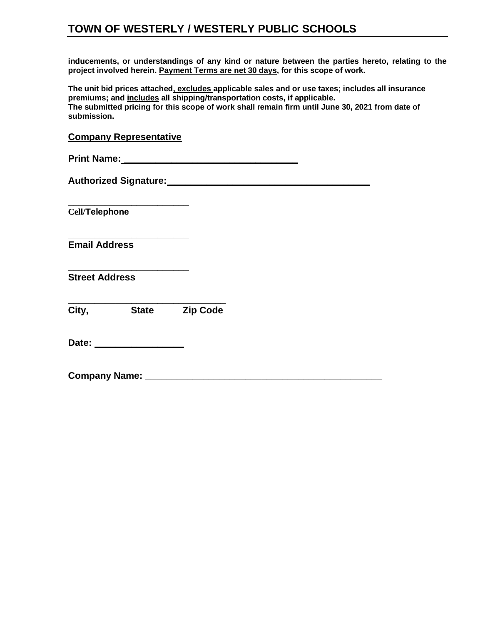**inducements, or understandings of any kind or nature between the parties hereto, relating to the project involved herein. Payment Terms are net 30 days, for this scope of work.** 

**The unit bid prices attached, excludes applicable sales and or use taxes; includes all insurance premiums; and includes all shipping/transportation costs, if applicable. The submitted pricing for this scope of work shall remain firm until June 30, 2021 from date of submission.** 

| __                           |  |  |
|------------------------------|--|--|
| <b>Print Name:</b>           |  |  |
| <b>Authorized Signature:</b> |  |  |
| <b>Cell/Telephone</b>        |  |  |
| <b>Email Address</b>         |  |  |
|                              |  |  |

**Street Address**

**\_\_\_\_\_\_\_\_\_\_\_\_\_\_\_\_\_\_\_\_\_\_\_\_\_\_\_\_\_\_ City, State Zip Code**

**Date:**  $\blacksquare$ 

**Company Representative**

**Company Name: \_\_\_\_\_\_\_\_\_\_\_\_\_\_\_\_\_\_\_\_\_\_\_\_\_\_\_\_\_\_\_\_\_\_\_\_\_\_\_\_\_\_\_\_\_**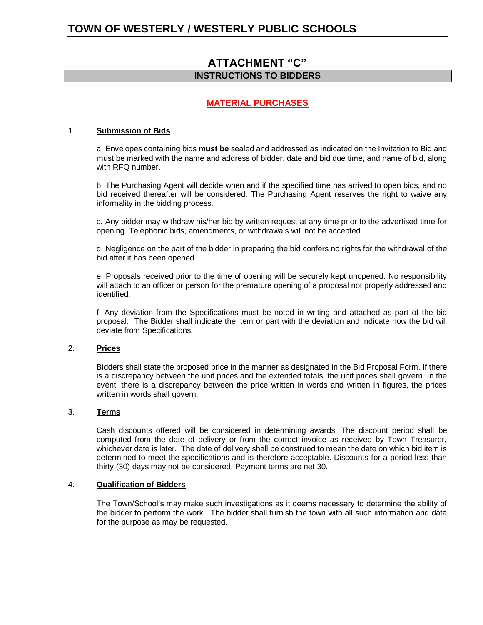# **ATTACHMENT "C" INSTRUCTIONS TO BIDDERS**

### **MATERIAL PURCHASES**

### 1. **Submission of Bids**

a. Envelopes containing bids **must be** sealed and addressed as indicated on the Invitation to Bid and must be marked with the name and address of bidder, date and bid due time, and name of bid, along with RFQ number.

b. The Purchasing Agent will decide when and if the specified time has arrived to open bids, and no bid received thereafter will be considered. The Purchasing Agent reserves the right to waive any informality in the bidding process.

c. Any bidder may withdraw his/her bid by written request at any time prior to the advertised time for opening. Telephonic bids, amendments, or withdrawals will not be accepted.

d. Negligence on the part of the bidder in preparing the bid confers no rights for the withdrawal of the bid after it has been opened.

e. Proposals received prior to the time of opening will be securely kept unopened. No responsibility will attach to an officer or person for the premature opening of a proposal not properly addressed and identified.

f. Any deviation from the Specifications must be noted in writing and attached as part of the bid proposal. The Bidder shall indicate the item or part with the deviation and indicate how the bid will deviate from Specifications.

#### 2. **Prices**

Bidders shall state the proposed price in the manner as designated in the Bid Proposal Form. If there is a discrepancy between the unit prices and the extended totals, the unit prices shall govern. In the event, there is a discrepancy between the price written in words and written in figures, the prices written in words shall govern.

#### 3. **Terms**

Cash discounts offered will be considered in determining awards. The discount period shall be computed from the date of delivery or from the correct invoice as received by Town Treasurer, whichever date is later. The date of delivery shall be construed to mean the date on which bid item is determined to meet the specifications and is therefore acceptable. Discounts for a period less than thirty (30) days may not be considered. Payment terms are net 30.

#### 4. **Qualification of Bidders**

The Town/School's may make such investigations as it deems necessary to determine the ability of the bidder to perform the work. The bidder shall furnish the town with all such information and data for the purpose as may be requested.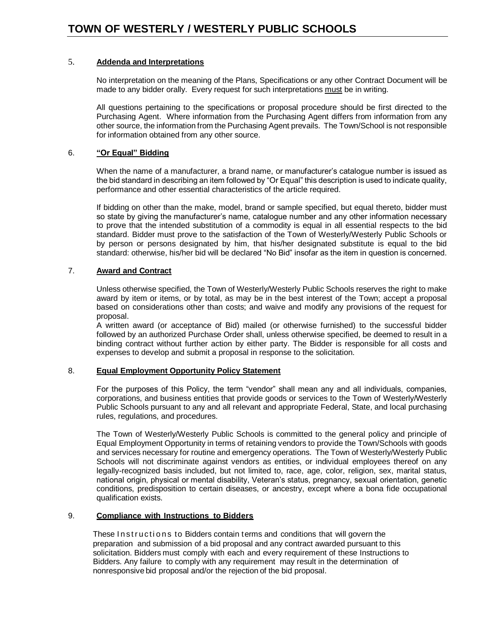### 5. **Addenda and Interpretations**

No interpretation on the meaning of the Plans, Specifications or any other Contract Document will be made to any bidder orally. Every request for such interpretations must be in writing.

All questions pertaining to the specifications or proposal procedure should be first directed to the Purchasing Agent. Where information from the Purchasing Agent differs from information from any other source, the information from the Purchasing Agent prevails. The Town/School is not responsible for information obtained from any other source.

### 6. **"Or Equal" Bidding**

When the name of a manufacturer, a brand name, or manufacturer's catalogue number is issued as the bid standard in describing an item followed by "Or Equal" this description is used to indicate quality, performance and other essential characteristics of the article required.

If bidding on other than the make, model, brand or sample specified, but equal thereto, bidder must so state by giving the manufacturer's name, catalogue number and any other information necessary to prove that the intended substitution of a commodity is equal in all essential respects to the bid standard. Bidder must prove to the satisfaction of the Town of Westerly/Westerly Public Schools or by person or persons designated by him, that his/her designated substitute is equal to the bid standard: otherwise, his/her bid will be declared "No Bid" insofar as the item in question is concerned.

### 7. **Award and Contract**

Unless otherwise specified, the Town of Westerly/Westerly Public Schools reserves the right to make award by item or items, or by total, as may be in the best interest of the Town; accept a proposal based on considerations other than costs; and waive and modify any provisions of the request for proposal.

A written award (or acceptance of Bid) mailed (or otherwise furnished) to the successful bidder followed by an authorized Purchase Order shall, unless otherwise specified, be deemed to result in a binding contract without further action by either party. The Bidder is responsible for all costs and expenses to develop and submit a proposal in response to the solicitation.

### 8. **Equal Employment Opportunity Policy Statement**

For the purposes of this Policy, the term "vendor" shall mean any and all individuals, companies, corporations, and business entities that provide goods or services to the Town of Westerly/Westerly Public Schools pursuant to any and all relevant and appropriate Federal, State, and local purchasing rules, regulations, and procedures.

The Town of Westerly/Westerly Public Schools is committed to the general policy and principle of Equal Employment Opportunity in terms of retaining vendors to provide the Town/Schools with goods and services necessary for routine and emergency operations. The Town of Westerly/Westerly Public Schools will not discriminate against vendors as entities, or individual employees thereof on any legally-recognized basis included, but not limited to, race, age, color, religion, sex, marital status, national origin, physical or mental disability, Veteran's status, pregnancy, sexual orientation, genetic conditions, predisposition to certain diseases, or ancestry, except where a bona fide occupational qualification exists.

### 9. **Compliance with Instructions to Bidders**

These Instructions to Bidders contain terms and conditions that will govern the preparation and submission of a bid proposal and any contract awarded pursuant to this solicitation. Bidders must comply with each and every requirement of these Instructions to Bidders. Any failure to comply with any requirement may result in the determination of nonresponsive bid proposal and/or the rejection of the bid proposal.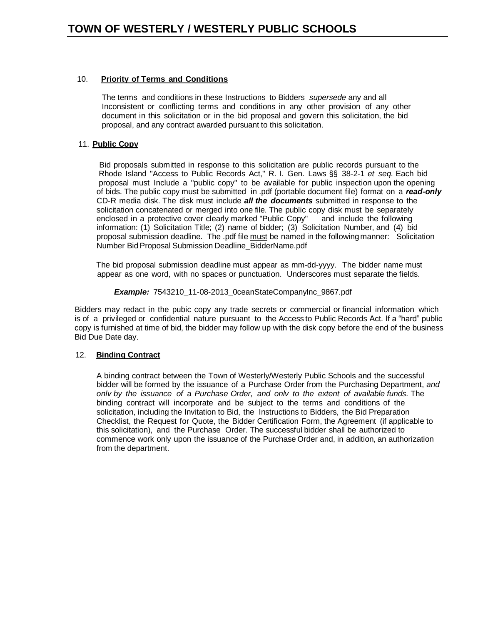### 10. **Priority of Terms and Conditions**

 The terms and conditions in these Instructions to Bidders *supersede* any and all Inconsistent or conflicting terms and conditions in any other provision of any other document in this solicitation or in the bid proposal and govern this solicitation, the bid proposal, and any contract awarded pursuant to this solicitation.

### 11. **Public Copy**

Bid proposals submitted in response to this solicitation are public records pursuant to the Rhode Island "Access to Public Records Act," R. I. Gen. Laws §§ 38-2-1 *et seq.* Each bid proposal must Include a "public copy" to be available for public inspection upon the opening of bids. The public copy must be submitted in .pdf (portable document file) format on a *read-only* CD-R media disk. The disk must include *all the documents* submitted in response to the solicitation concatenated or merged into one file. The public copy disk must be separately enclosed in a protective cover clearly marked "Public Copy" and include the following information: (1) Solicitation Title; (2) name of bidder; (3) Solicitation Number, and (4) bid proposal submission deadline. The .pdf file must be named in the following manner: Solicitation Number BidProposal Submission Deadline\_BidderName.pdf

 The bid proposal submission deadline must appear as mm-dd-yyyy. The bidder name must appear as one word, with no spaces or punctuation. Underscores must separate the fields.

#### *Example:* 7543210\_11-08-2013\_0ceanStateCompanylnc\_9867.pdf

Bidders may redact in the pubic copy any trade secrets or commercial or financial information which is of a privileged or confidential nature pursuant to the Access to Public Records Act. If a "hard" public copy is furnished at time of bid, the bidder may follow up with the disk copy before the end of the business Bid Due Date day.

### 12. **Binding Contract**

A binding contract between the Town of Westerly/Westerly Public Schools and the successful bidder will be formed by the issuance of a Purchase Order from the Purchasing Department, *and onlv by the issuance of* a *Purchase Order, and onlv to the extent of available funds.* The binding contract will incorporate and be subject to the terms and conditions of the solicitation, including the Invitation to Bid, the Instructions to Bidders, the Bid Preparation Checklist, the Request for Quote, the Bidder Certification Form, the Agreement (if applicable to this solicitation), and the Purchase Order. The successful bidder shall be authorized to commence work only upon the issuance of the Purchase Order and, in addition, an authorization from the department.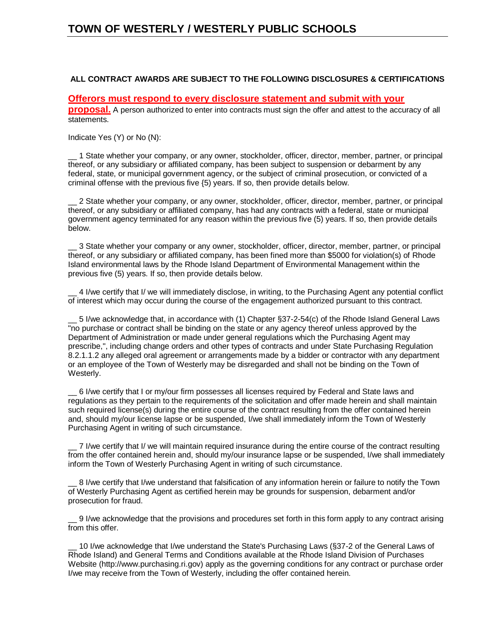### **ALL CONTRACT AWARDS ARE SUBJECT TO THE FOLLOWING DISCLOSURES & CERTIFICATIONS**

### **Offerors must respond to every disclosure statement and submit with your**

**proposal.** A person authorized to enter into contracts must sign the offer and attest to the accuracy of all statements.

Indicate Yes (Y) or No (N):

\_\_ 1 State whether your company, or any owner, stockholder, officer, director, member, partner, or principal thereof, or any subsidiary or affiliated company, has been subject to suspension or debarment by any federal, state, or municipal government agency, or the subject of criminal prosecution, or convicted of a criminal offense with the previous five {5) years. If so, then provide details below.

\_\_ 2 State whether your company, or any owner, stockholder, officer, director, member, partner, or principal thereof, or any subsidiary or affiliated company, has had any contracts with a federal, state or municipal government agency terminated for any reason within the previous five (5) years. If so, then provide details below.

\_\_ 3 State whether your company or any owner, stockholder, officer, director, member, partner, or principal thereof, or any subsidiary or affiliated company, has been fined more than \$5000 for violation(s) of Rhode Island environmental laws by the Rhode Island Department of Environmental Management within the previous five (5) years. If so, then provide details below.

\_\_ 4 I/we certify that I/ we will immediately disclose, in writing, to the Purchasing Agent any potential conflict of interest which may occur during the course of the engagement authorized pursuant to this contract.

\_\_ 5 I/we acknowledge that, in accordance with (1) Chapter §37-2-54(c) of the Rhode Island General Laws "no purchase or contract shall be binding on the state or any agency thereof unless approved by the Department of Administration or made under general regulations which the Purchasing Agent may prescribe,", including change orders and other types of contracts and under State Purchasing Regulation 8.2.1.1.2 any alleged oral agreement or arrangements made by a bidder or contractor with any department or an employee of the Town of Westerly may be disregarded and shall not be binding on the Town of Westerly.

\_\_ 6 I/we certify that I or my/our firm possesses all licenses required by Federal and State laws and regulations as they pertain to the requirements of the solicitation and offer made herein and shall maintain such required license(s) during the entire course of the contract resulting from the offer contained herein and, should my/our license lapse or be suspended, I/we shall immediately inform the Town of Westerly Purchasing Agent in writing of such circumstance.

\_\_ 7 I/we certify that I/ we will maintain required insurance during the entire course of the contract resulting from the offer contained herein and, should my/our insurance lapse or be suspended, I/we shall immediately inform the Town of Westerly Purchasing Agent in writing of such circumstance.

\_\_ 8 I/we certify that I/we understand that falsification of any information herein or failure to notify the Town of Westerly Purchasing Agent as certified herein may be grounds for suspension, debarment and/or prosecution for fraud.

\_\_ 9 I/we acknowledge that the provisions and procedures set forth in this form apply to any contract arising from this offer.

10 I/we acknowledge that I/we understand the State's Purchasing Laws (§37-2 of the General Laws of Rhode Island) and General Terms and Conditions available at the Rhode Island Division of Purchases Website (http://www.purchasing.ri.gov) apply as the governing conditions for any contract or purchase order I/we may receive from the Town of Westerly, including the offer contained herein.